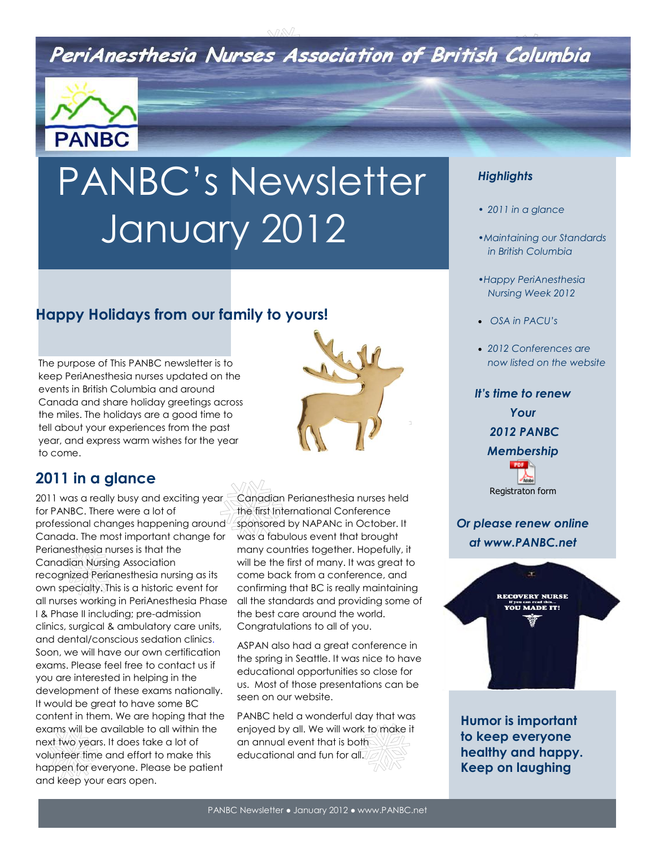# PeriAnesthesia Nurses Association of British Columbia



# PANBC's Newsletter January 2012

## **Happy Holidays from our family to yours!**

The purpose of This PANBC newsletter is to keep PeriAnesthesia nurses updated on the events in British Columbia and around Canada and share holiday greetings across the miles. The holidays are a good time to tell about your experiences from the past year, and express warm wishes for the year to come.



2011 was a really busy and exciting year for PANBC. There were a lot of professional changes happening around Canada. The most important change for Perianesthesia nurses is that the Canadian Nursing Association recognized Perianesthesia nursing as its own specialty. This is a historic event for all nurses working in PeriAnesthesia Phase I & Phase II including; pre-admission clinics, surgical & ambulatory care units, and dental/conscious sedation clinics. Soon, we will have our own certification exams. Please feel free to contact us if you are interested in helping in the development of these exams nationally. It would be great to have some BC content in them. We are hoping that the exams will be available to all within the next two years. It does take a lot of volunteer time and effort to make this happen for everyone. Please be patient and keep your ears open.

Canadian Perianesthesia nurses held the first International Conference sponsored by NAPANc in October. It was a fabulous event that brought many countries together. Hopefully, it will be the first of many. It was great to come back from a conference, and confirming that BC is really maintaining all the standards and providing some of the best care around the world. Congratulations to all of you.

ASPAN also had a great conference in the spring in Seattle. It was nice to have educational opportunities so close for us. Most of those presentations can be seen on our website.

PANBC held a wonderful day that was enjoyed by all. We will work to make it an annual event that is both educational and fun for all.

#### *Highlights*

- *• 2011 in a glance*
- *•Maintaining our Standards in British Columbia*
- *•Happy PeriAnesthesia Nursing Week 2012*
- *OSA in PACU's*
- *2012 Conferences are now listed on the website*

*It's time to renew Your 2012 PANBC Membership*  PDF Registraton form

*Or please renew online at www.PANBC.net*



**Humor is important to keep everyone healthy and happy. Keep on laughing**

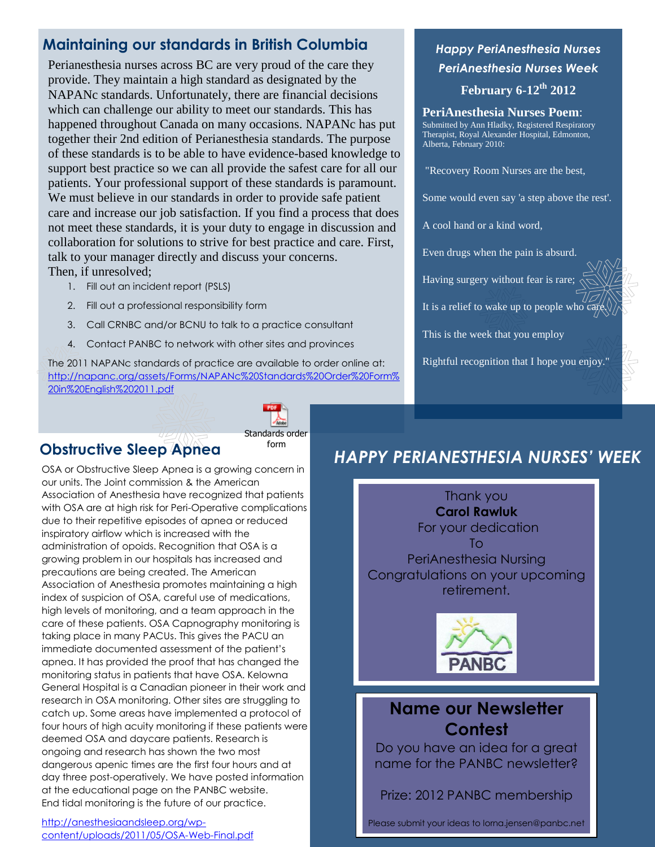## **Maintaining our standards in British Columbia**

Perianesthesia nurses across BC are very proud of the care they provide. They maintain a high standard as designated by the NAPANc standards. Unfortunately, there are financial decisions which can challenge our ability to meet our standards. This has happened throughout Canada on many occasions. NAPANc has put together their 2nd edition of Perianesthesia standards. The purpose of these standards is to be able to have evidence-based knowledge to support best practice so we can all provide the safest care for all our patients. Your professional support of these standards is paramount. We must believe in our standards in order to provide safe patient care and increase our job satisfaction. If you find a process that does not meet these standards, it is your duty to engage in discussion and collaboration for solutions to strive for best practice and care. First, talk to your manager directly and discuss your concerns. Then, if unresolved;

- 1. Fill out an incident report (PSLS)
- 2. Fill out a professional responsibility form
- 3. Call CRNBC and/or BCNU to talk to a practice consultant
- 4. Contact PANBC to network with other sites and provinces

The 2011 NAPANc standards of practice are available to order online at: [http://napanc.org/assets/Forms/NAPANc%20Standards%20Order%20Form%](http://napanc.org/assets/Forms/NAPANc%20Standards%20Order%20Form%20in%20English%202011.pdf) [20in%20English%202011.pdf](http://napanc.org/assets/Forms/NAPANc%20Standards%20Order%20Form%20in%20English%202011.pdf) 

## **Obstructive Sleep Apnea**

Standards order form

 OSA or Obstructive Sleep Apnea is a growing concern in our units. The Joint commission & the American Association of Anesthesia have recognized that patients with OSA are at high risk for Peri-Operative complications due to their repetitive episodes of apnea or reduced inspiratory airflow which is increased with the administration of opoids. Recognition that OSA is a growing problem in our hospitals has increased and precautions are being created. The American Association of Anesthesia promotes maintaining a high index of suspicion of OSA, careful use of medications, high levels of monitoring, and a team approach in the care of these patients. OSA Capnography monitoring is taking place in many PACUs. This gives the PACU an immediate documented assessment of the patient's apnea. It has provided the proof that has changed the monitoring status in patients that have OSA. Kelowna General Hospital is a Canadian pioneer in their work and research in OSA monitoring. Other sites are struggling to catch up. Some areas have implemented a protocol of four hours of high acuity monitoring if these patients were deemed OSA and daycare patients. Research is ongoing and research has shown the two most dangerous apenic times are the first four hours and at day three post-operatively. We have posted information at the educational page on the PANBC website. End tidal monitoring is the future of our practice.

[http://anesthesiaandsleep.org/wp](http://anesthesiaandsleep.org/wp-content/uploads/2011/05/OSA-Web-Final.pdf)[content/uploads/2011/05/OSA-Web-Final.pdf](http://anesthesiaandsleep.org/wp-content/uploads/2011/05/OSA-Web-Final.pdf) 

## *Happy PeriAnesthesia Nurses PeriAnesthesia Nurses Week* **February 6-12th 2012**

#### **PeriAnesthesia Nurses Poem**: Submitted by Ann Hladky, Registered Respiratory Therapist, Royal Alexander Hospital, Edmonton, Alberta, February 2010:

"Recovery Room Nurses are the best,

Some would even say 'a step above the rest'.

A cool hand or a kind word,

Even drugs when the pain is absurd.

Having surgery without fear is rare;

It is a relief to wake up to people who care.

This is the week that you employ

Rightful recognition that I hope you enjoy."

## *HAPPY PERIANESTHESIA NURSES' WEEK*

Thank you **Carol Rawluk** For your dedication To PeriAnesthesia Nursing Congratulations on your upcoming retirement.



## **Name our Newsletter Contest**

Do you have an idea for a great name for the PANBC newsletter?

Prize: 2012 PANBC membership

Please submit your ideas to lorna.jensen@panbc.net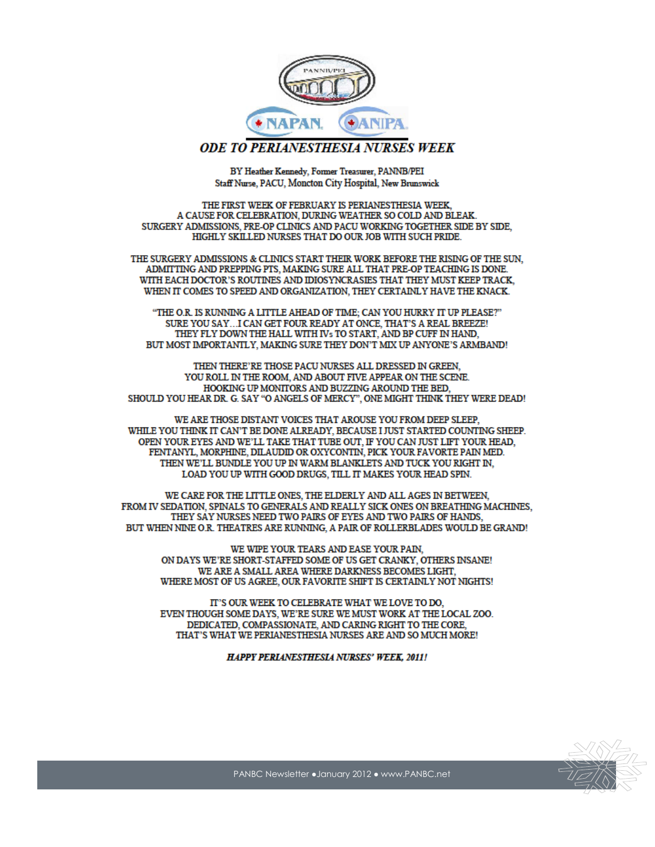

#### **ODE TO PERIANESTHESIA NURSES WEEK**

BY Heather Kennedy, Former Treasurer, PANNB/PEI Staff Nurse, PACU, Moncton City Hospital, New Brunswick

THE FIRST WEEK OF FEBRUARY IS PERIANESTHESIA WEEK, A CAUSE FOR CELEBRATION, DURING WEATHER SO COLD AND BLEAK. SURGERY ADMISSIONS, PRE-OP CLINICS AND PACU WORKING TOGETHER SIDE BY SIDE. HIGHLY SKILLED NURSES THAT DO OUR JOB WITH SUCH PRIDE.

THE SURGERY ADMISSIONS & CLINICS START THEIR WORK BEFORE THE RISING OF THE SUN, ADMITTING AND PREPPING PTS, MAKING SURE ALL THAT PRE-OP TEACHING IS DONE. WITH EACH DOCTOR'S ROUTINES AND IDIOSYNCRASIES THAT THEY MUST KEEP TRACK. WHEN IT COMES TO SPEED AND ORGANIZATION, THEY CERTAINLY HAVE THE KNACK.

"THE O.R. IS RUNNING A LITTLE AHEAD OF TIME; CAN YOU HURRY IT UP PLEASE?" SURE YOU SAY...I CAN GET FOUR READY AT ONCE, THAT'S A REAL BREEZE! THEY FLY DOWN THE HALL WITH IVs TO START, AND BP CUFF IN HAND, BUT MOST IMPORTANTLY, MAKING SURE THEY DON'T MIX UP ANYONE'S ARMBAND!

THEN THERE'RE THOSE PACU NURSES ALL DRESSED IN GREEN, YOU ROLL IN THE ROOM, AND ABOUT FIVE APPEAR ON THE SCENE. HOOKING UP MONITORS AND BUZZING AROUND THE BED, SHOULD YOU HEAR DR. G. SAY "O ANGELS OF MERCY", ONE MIGHT THINK THEY WERE DEAD!

WE ARE THOSE DISTANT VOICES THAT AROUSE YOU FROM DEEP SLEEP. WHILE YOU THINK IT CAN'T BE DONE ALREADY, BECAUSE I JUST STARTED COUNTING SHEEP. OPEN YOUR EYES AND WE'LL TAKE THAT TUBE OUT, IF YOU CAN JUST LIFT YOUR HEAD, FENTANYL, MORPHINE, DILAUDID OR OXYCONTIN, PICK YOUR FAVORTE PAIN MED. THEN WE'LL BUNDLE YOU UP IN WARM BLANKLETS AND TUCK YOU RIGHT IN. LOAD YOU UP WITH GOOD DRUGS, TILL IT MAKES YOUR HEAD SPIN.

WE CARE FOR THE LITTLE ONES, THE ELDERLY AND ALL AGES IN BETWEEN, FROM IV SEDATION, SPINALS TO GENERALS AND REALLY SICK ONES ON BREATHING MACHINES, THEY SAY NURSES NEED TWO PAIRS OF EYES AND TWO PAIRS OF HANDS. BUT WHEN NINE O.R. THEATRES ARE RUNNING, A PAIR OF ROLLERBLADES WOULD BE GRAND!

WE WIPE YOUR TEARS AND EASE YOUR PAIN, ON DAYS WE'RE SHORT-STAFFED SOME OF US GET CRANKY, OTHERS INSANE! WE ARE A SMALL AREA WHERE DARKNESS BECOMES LIGHT, WHERE MOST OF US AGREE, OUR FAVORITE SHIFT IS CERTAINLY NOT NIGHTS!

IT'S OUR WEEK TO CELEBRATE WHAT WE LOVE TO DO, EVEN THOUGH SOME DAYS, WE'RE SURE WE MUST WORK AT THE LOCAL ZOO. DEDICATED, COMPASSIONATE, AND CARING RIGHT TO THE CORE, THAT'S WHAT WE PERIANESTHESIA NURSES ARE AND SO MUCH MORE!

**HAPPY PERLANESTHESLA NURSES' WEEK, 2011!**